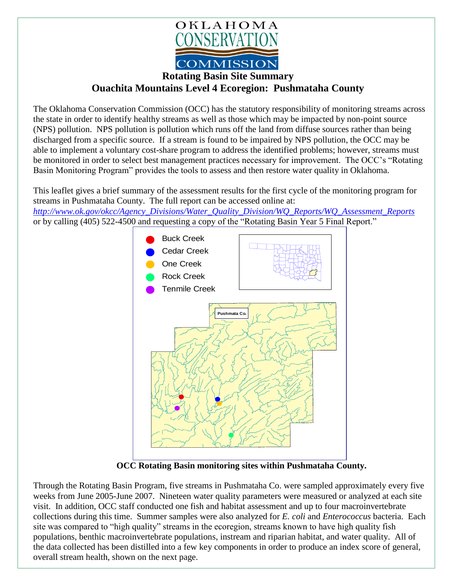

**Rotating Basin Site Summary**

**Ouachita Mountains Level 4 Ecoregion: Pushmataha County**

The Oklahoma Conservation Commission (OCC) has the statutory responsibility of monitoring streams across the state in order to identify healthy streams as well as those which may be impacted by non-point source (NPS) pollution. NPS pollution is pollution which runs off the land from diffuse sources rather than being discharged from a specific source. If a stream is found to be impaired by NPS pollution, the OCC may be able to implement a voluntary cost-share program to address the identified problems; however, streams must be monitored in order to select best management practices necessary for improvement. The OCC's "Rotating Basin Monitoring Program" provides the tools to assess and then restore water quality in Oklahoma.

This leaflet gives a brief summary of the assessment results for the first cycle of the monitoring program for streams in Pushmataha County. The full report can be accessed online at:

*[http://www.ok.gov/okcc/Agency\\_Divisions/Water\\_Quality\\_Division/WQ\\_Reports/WQ\\_Assessment\\_Reports](http://www.ok.gov/okcc/Agency_Divisions/Water_Quality_Division/WQ_Reports/WQ_Assessment_Reports)* or by calling (405) 522-4500 and requesting a copy of the "Rotating Basin Year 5 Final Report."



**OCC Rotating Basin monitoring sites within Pushmataha County.**

Through the Rotating Basin Program, five streams in Pushmataha Co. were sampled approximately every five weeks from June 2005-June 2007. Nineteen water quality parameters were measured or analyzed at each site visit. In addition, OCC staff conducted one fish and habitat assessment and up to four macroinvertebrate collections during this time. Summer samples were also analyzed for *E. coli* and *Enterococcus* bacteria. Each site was compared to "high quality" streams in the ecoregion, streams known to have high quality fish populations, benthic macroinvertebrate populations, instream and riparian habitat, and water quality. All of the data collected has been distilled into a few key components in order to produce an index score of general, overall stream health, shown on the next page.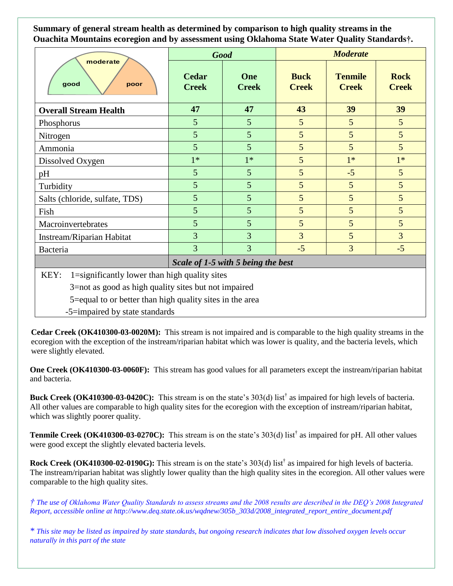**Summary of general stream health as determined by comparison to high quality streams in the Ouachita Mountains ecoregion and by assessment using Oklahoma State Water Quality Standards†.**

| moderate<br>good<br>poor                              | <b>Good</b>                  |                     | <b>Moderate</b>             |                                |                             |
|-------------------------------------------------------|------------------------------|---------------------|-----------------------------|--------------------------------|-----------------------------|
|                                                       | <b>Cedar</b><br><b>Creek</b> | One<br><b>Creek</b> | <b>Buck</b><br><b>Creek</b> | <b>Tenmile</b><br><b>Creek</b> | <b>Rock</b><br><b>Creek</b> |
| <b>Overall Stream Health</b>                          | 47                           | 47                  | 43                          | 39                             | 39                          |
| Phosphorus                                            | 5                            | 5                   | 5                           | 5                              | $5\overline{)}$             |
| Nitrogen                                              | $5\overline{)}$              | 5                   | 5                           | 5                              | 5 <sup>5</sup>              |
| Ammonia                                               | $\overline{5}$               | 5                   | 5                           | 5                              | 5 <sup>5</sup>              |
| Dissolved Oxygen                                      | $1*$                         | $1*$                | 5                           | $1*$                           | $1*$                        |
| pH                                                    | $\overline{5}$               | $\overline{5}$      | 5                           | $-5$                           | 5 <sup>5</sup>              |
| Turbidity                                             | 5                            | $\overline{5}$      | 5                           | 5                              | 5 <sup>5</sup>              |
| Salts (chloride, sulfate, TDS)                        | $5\overline{)}$              | $\overline{5}$      | 5                           | 5                              | 5 <sup>5</sup>              |
| Fish                                                  | $\overline{5}$               | $\overline{5}$      | 5                           | 5                              | $5\overline{)}$             |
| Macroinvertebrates                                    | $5\overline{)}$              | $\overline{5}$      | 5                           | 5                              | $5\overline{)}$             |
| Instream/Riparian Habitat                             | 3                            | $\overline{3}$      | $\overline{3}$              | 5                              | $\overline{3}$              |
| Bacteria                                              | 3                            | $\overline{3}$      | $-5$                        | 3                              | $-5$                        |
| Scale of 1-5 with 5 being the best                    |                              |                     |                             |                                |                             |
| KEY:<br>1=significantly lower than high quality sites |                              |                     |                             |                                |                             |
| 3 not as good as high quality sites but not impaired  |                              |                     |                             |                                |                             |

3=not as good as high quality sites but not impaired

5=equal to or better than high quality sites in the area

-5=impaired by state standards

**Cedar Creek (OK410300-03-0020M):** This stream is not impaired and is comparable to the high quality streams in the ecoregion with the exception of the instream/riparian habitat which was lower is quality, and the bacteria levels, which were slightly elevated.

**One Creek (OK410300-03-0060F):** This stream has good values for all parameters except the instream/riparian habitat and bacteria.

Buck Creek (OK410300-03-0420C): This stream is on the state's 303(d) list<sup>†</sup> as impaired for high levels of bacteria. All other values are comparable to high quality sites for the ecoregion with the exception of instream/riparian habitat, which was slightly poorer quality.

**Tenmile Creek (OK410300-03-0270C):** This stream is on the state's 303(d) list<sup>†</sup> as impaired for pH. All other values were good except the slightly elevated bacteria levels.

**Rock Creek (OK410300-02-0190G):** This stream is on the state's 303(d) list† as impaired for high levels of bacteria. The instream/riparian habitat was slightly lower quality than the high quality sites in the ecoregion. All other values were comparable to the high quality sites.

*† The use of Oklahoma Water Quality Standards to assess streams and the 2008 results are described in the DEQ's 2008 Integrated Report, accessible online at http://www.deq.state.ok.us/wqdnew/305b\_303d/2008\_integrated\_report\_entire\_document.pdf*

*\* This site may be listed as impaired by state standards, but ongoing research indicates that low dissolved oxygen levels occur naturally in this part of the state*